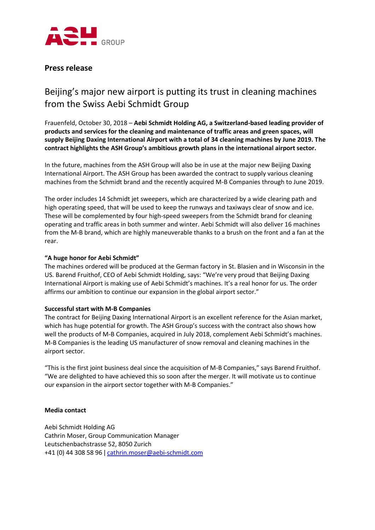

### **Press release**

# Beijing's major new airport is putting its trust in cleaning machines from the Swiss Aebi Schmidt Group

Frauenfeld, October 30, 2018 – **Aebi Schmidt Holding AG, a Switzerland-based leading provider of products and services for the cleaning and maintenance of traffic areas and green spaces, will supply Beijing Daxing International Airport with a total of 34 cleaning machines by June 2019. The contract highlights the ASH Group's ambitious growth plans in the international airport sector.**

In the future, machines from the ASH Group will also be in use at the major new Beijing Daxing International Airport. The ASH Group has been awarded the contract to supply various cleaning machines from the Schmidt brand and the recently acquired M-B Companies through to June 2019.

The order includes 14 Schmidt jet sweepers, which are characterized by a wide clearing path and high operating speed, that will be used to keep the runways and taxiways clear of snow and ice. These will be complemented by four high-speed sweepers from the Schmidt brand for cleaning operating and traffic areas in both summer and winter. Aebi Schmidt will also deliver 16 machines from the M-B brand, which are highly maneuverable thanks to a brush on the front and a fan at the rear.

#### **"A huge honor for Aebi Schmidt"**

The machines ordered will be produced at the German factory in St. Blasien and in Wisconsin in the US. Barend Fruithof, CEO of Aebi Schmidt Holding, says: "We're very proud that Beijing Daxing International Airport is making use of Aebi Schmidt's machines. It's a real honor for us. The order affirms our ambition to continue our expansion in the global airport sector."

#### **Successful start with M-B Companies**

The contract for Beijing Daxing International Airport is an excellent reference for the Asian market, which has huge potential for growth. The ASH Group's success with the contract also shows how well the products of M-B Companies, acquired in July 2018, complement Aebi Schmidt's machines. M-B Companies is the leading US manufacturer of snow removal and cleaning machines in the airport sector.

"This is the first joint business deal since the acquisition of M-B Companies," says Barend Fruithof. "We are delighted to have achieved this so soon after the merger. It will motivate us to continue our expansion in the airport sector together with M-B Companies."

#### **Media contact**

Aebi Schmidt Holding AG Cathrin Moser, Group Communication Manager Leutschenbachstrasse 52, 8050 Zurich +41 (0) 44 308 58 96 ǀ [cathrin.moser@aebi-schmidt.com](mailto:cathrin.moser@aebi-schmidt.com)